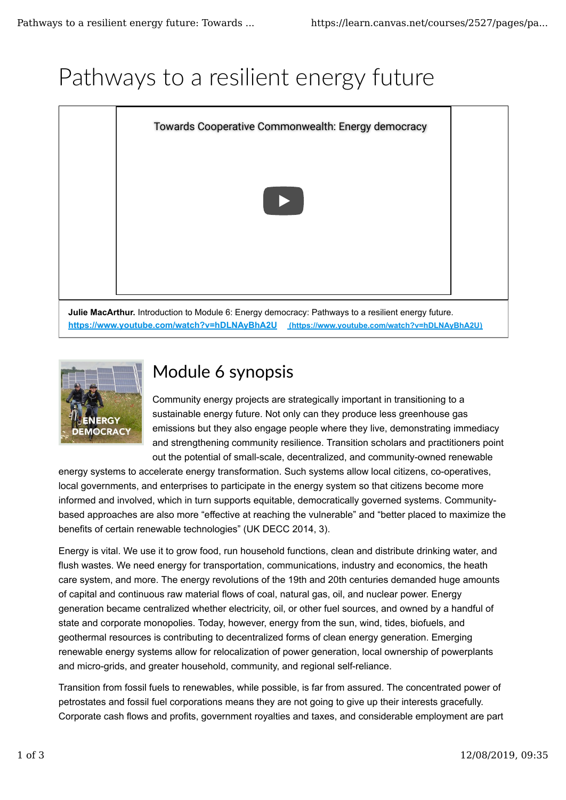# Pathways to a resilient energy future



**https://www.youtube.com/watch?v=hDLNAyBhA2U (https://www.youtube.com/watch?v=hDLNAyBhA2U)**



## Module 6 synopsis

Community energy projects are strategically important in transitioning to a sustainable energy future. Not only can they produce less greenhouse gas emissions but they also engage people where they live, demonstrating immediacy and strengthening community resilience. Transition scholars and practitioners point out the potential of small-scale, decentralized, and community-owned renewable

energy systems to accelerate energy transformation. Such systems allow local citizens, co-operatives, local governments, and enterprises to participate in the energy system so that citizens become more informed and involved, which in turn supports equitable, democratically governed systems. Communitybased approaches are also more "effective at reaching the vulnerable" and "better placed to maximize the benefits of certain renewable technologies" (UK DECC 2014, 3).

Energy is vital. We use it to grow food, run household functions, clean and distribute drinking water, and flush wastes. We need energy for transportation, communications, industry and economics, the heath care system, and more. The energy revolutions of the 19th and 20th centuries demanded huge amounts of capital and continuous raw material flows of coal, natural gas, oil, and nuclear power. Energy generation became centralized whether electricity, oil, or other fuel sources, and owned by a handful of state and corporate monopolies. Today, however, energy from the sun, wind, tides, biofuels, and geothermal resources is contributing to decentralized forms of clean energy generation. Emerging renewable energy systems allow for relocalization of power generation, local ownership of powerplants and micro-grids, and greater household, community, and regional self-reliance.

Transition from fossil fuels to renewables, while possible, is far from assured. The concentrated power of petrostates and fossil fuel corporations means they are not going to give up their interests gracefully. Corporate cash flows and profits, government royalties and taxes, and considerable employment are part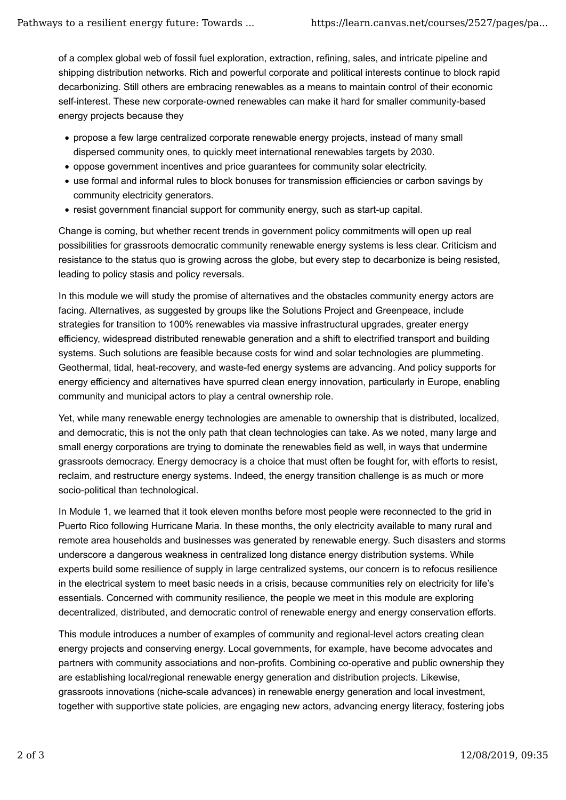of a complex global web of fossil fuel exploration, extraction, refining, sales, and intricate pipeline and shipping distribution networks. Rich and powerful corporate and political interests continue to block rapid decarbonizing. Still others are embracing renewables as a means to maintain control of their economic self-interest. These new corporate-owned renewables can make it hard for smaller community-based energy projects because they

- propose a few large centralized corporate renewable energy projects, instead of many small dispersed community ones, to quickly meet international renewables targets by 2030.
- oppose government incentives and price guarantees for community solar electricity.
- use formal and informal rules to block bonuses for transmission efficiencies or carbon savings by community electricity generators.
- resist government financial support for community energy, such as start-up capital.

Change is coming, but whether recent trends in government policy commitments will open up real possibilities for grassroots democratic community renewable energy systems is less clear. Criticism and resistance to the status quo is growing across the globe, but every step to decarbonize is being resisted, leading to policy stasis and policy reversals.

In this module we will study the promise of alternatives and the obstacles community energy actors are facing. Alternatives, as suggested by groups like the Solutions Project and Greenpeace, include strategies for transition to 100% renewables via massive infrastructural upgrades, greater energy efficiency, widespread distributed renewable generation and a shift to electrified transport and building systems. Such solutions are feasible because costs for wind and solar technologies are plummeting. Geothermal, tidal, heat-recovery, and waste-fed energy systems are advancing. And policy supports for energy efficiency and alternatives have spurred clean energy innovation, particularly in Europe, enabling community and municipal actors to play a central ownership role.

Yet, while many renewable energy technologies are amenable to ownership that is distributed, localized, and democratic, this is not the only path that clean technologies can take. As we noted, many large and small energy corporations are trying to dominate the renewables field as well, in ways that undermine grassroots democracy. Energy democracy is a choice that must often be fought for, with efforts to resist, reclaim, and restructure energy systems. Indeed, the energy transition challenge is as much or more socio-political than technological.

In Module 1, we learned that it took eleven months before most people were reconnected to the grid in Puerto Rico following Hurricane Maria. In these months, the only electricity available to many rural and remote area households and businesses was generated by renewable energy. Such disasters and storms underscore a dangerous weakness in centralized long distance energy distribution systems. While experts build some resilience of supply in large centralized systems, our concern is to refocus resilience in the electrical system to meet basic needs in a crisis, because communities rely on electricity for life's essentials. Concerned with community resilience, the people we meet in this module are exploring decentralized, distributed, and democratic control of renewable energy and energy conservation efforts.

This module introduces a number of examples of community and regional-level actors creating clean energy projects and conserving energy. Local governments, for example, have become advocates and partners with community associations and non-profits. Combining co-operative and public ownership they are establishing local/regional renewable energy generation and distribution projects. Likewise, grassroots innovations (niche-scale advances) in renewable energy generation and local investment, together with supportive state policies, are engaging new actors, advancing energy literacy, fostering jobs